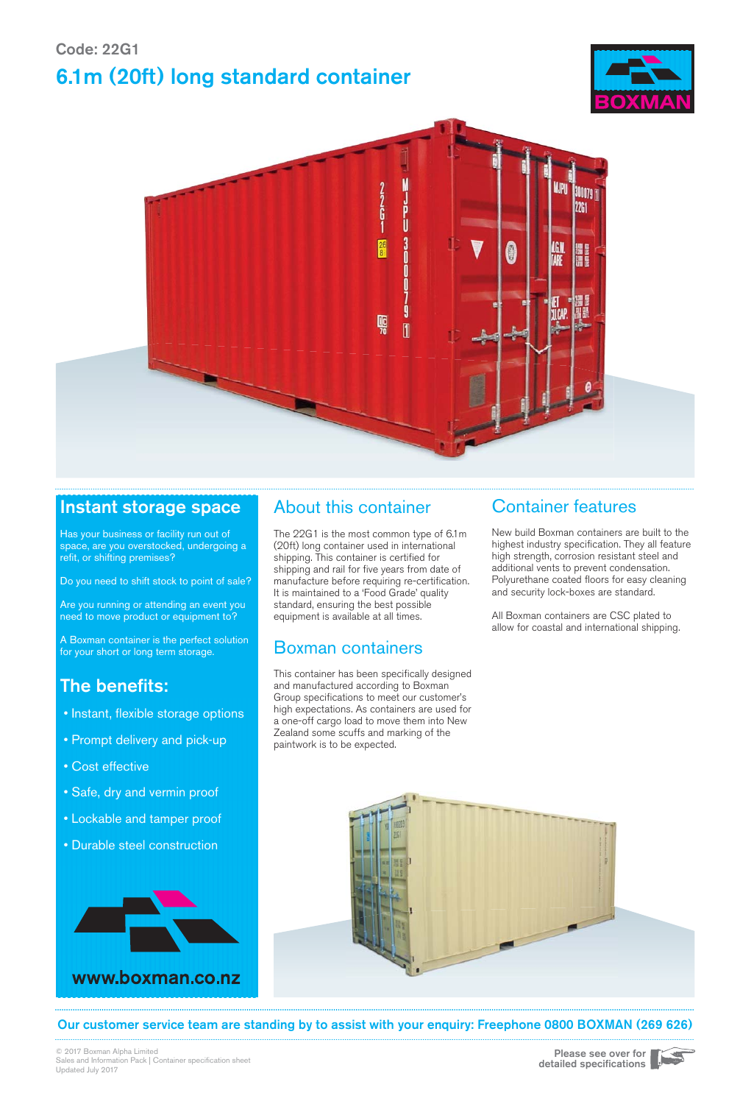## Code: 22G1 6.1m (20ft) long standard container





### Instant storage space

Has your business or facility run out of space, are you overstocked, undergoing a refit, or shifting premises?

Do you need to shift stock to point of sale?

Are you running or attending an event you need to move product or equipment to?

A Boxman container is the perfect solution for your short or long term storage.

## The benefits:

- Instant, flexible storage options
- Prompt delivery and pick-up
- Cost effective
- Safe, dry and vermin proof
- Lockable and tamper proof
- Durable steel construction



## About this container

The 22G1 is the most common type of 6.1m (20ft) long container used in international shipping. This container is certified for shipping and rail for five years from date of manufacture before requiring re-certification. It is maintained to a 'Food Grade' quality standard, ensuring the best possible equipment is available at all times.

## Boxman containers

This container has been specifically designed and manufactured according to Boxman Group specifications to meet our customer's high expectations. As containers are used for a one-off cargo load to move them into New Zealand some scuffs and marking of the paintwork is to be expected.

### Container features

New build Boxman containers are built to the highest industry specification. They all feature high strength, corrosion resistant steel and additional vents to prevent condensation. Polyurethane coated floors for easy cleaning and security lock-boxes are standard.

All Boxman containers are CSC plated to allow for coastal and international shipping.



Our customer service team are standing by to assist with your enquiry: Freephone 0800 BOXMAN (269 626)